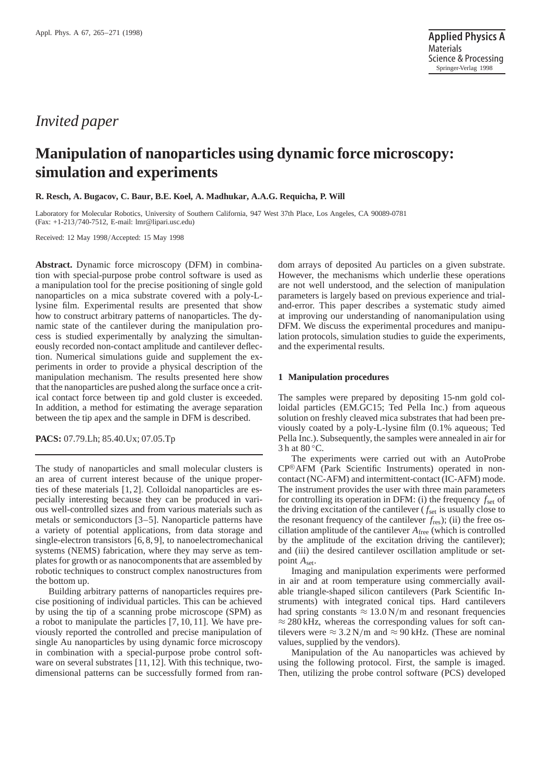# *Invited paper*

# **Manipulation of nanoparticles using dynamic force microscopy: simulation and experiments**

#### **R. Resch, A. Bugacov, C. Baur, B.E. Koel, A. Madhukar, A.A.G. Requicha, P. Will**

Laboratory for Molecular Robotics, University of Southern California, 947 West 37th Place, Los Angeles, CA 90089-0781 (Fax: +1-213/740-7512, E-mail: lmr@lipari.usc.edu)

Received: 12 May 1998/Accepted: 15 May 1998

**Abstract.** Dynamic force microscopy (DFM) in combination with special-purpose probe control software is used as a manipulation tool for the precise positioning of single gold nanoparticles on a mica substrate covered with a poly-Llysine film. Experimental results are presented that show how to construct arbitrary patterns of nanoparticles. The dynamic state of the cantilever during the manipulation process is studied experimentally by analyzing the simultaneously recorded non-contact amplitude and cantilever deflection. Numerical simulations guide and supplement the experiments in order to provide a physical description of the manipulation mechanism. The results presented here show that the nanoparticles are pushed along the surface once a critical contact force between tip and gold cluster is exceeded. In addition, a method for estimating the average separation between the tip apex and the sample in DFM is described.

**PACS:** 07.79.Lh; 85.40.Ux; 07.05.Tp

The study of nanoparticles and small molecular clusters is an area of current interest because of the unique properties of these materials [1, 2]. Colloidal nanoparticles are especially interesting because they can be produced in various well-controlled sizes and from various materials such as metals or semiconductors [3–5]. Nanoparticle patterns have a variety of potential applications, from data storage and single-electron transistors [6, 8, 9], to nanoelectromechanical systems (NEMS) fabrication, where they may serve as templates for growth or as nanocomponents that are assembled by robotic techniques to construct complex nanostructures from the bottom up.

Building arbitrary patterns of nanoparticles requires precise positioning of individual particles. This can be achieved by using the tip of a scanning probe microscope (SPM) as a robot to manipulate the particles [7, 10, 11]. We have previously reported the controlled and precise manipulation of single Au nanoparticles by using dynamic force microscopy in combination with a special-purpose probe control software on several substrates [11, 12]. With this technique, twodimensional patterns can be successfully formed from random arrays of deposited Au particles on a given substrate. However, the mechanisms which underlie these operations are not well understood, and the selection of manipulation parameters is largely based on previous experience and trialand-error. This paper describes a systematic study aimed at improving our understanding of nanomanipulation using DFM. We discuss the experimental procedures and manipulation protocols, simulation studies to guide the experiments, and the experimental results.

#### **1 Manipulation procedures**

The samples were prepared by depositing 15-nm gold colloidal particles (EM.GC15; Ted Pella Inc.) from aqueous solution on freshly cleaved mica substrates that had been previously coated by a poly-L-lysine film (0.1% aqueous; Ted Pella Inc.). Subsequently, the samples were annealed in air for 3 h at 80 °C.

The experiments were carried out with an AutoProbe CP<sup>®</sup>AFM (Park Scientific Instruments) operated in noncontact (NC-AFM) and intermittent-contact (IC-AFM) mode. The instrument provides the user with three main parameters for controlling its operation in DFM: (i) the frequency *f*set of the driving excitation of the cantilever ( $f_{\text{set}}$  is usually close to the resonant frequency of the cantilever *f*res); (ii) the free oscillation amplitude of the cantilever *A*free (which is controlled by the amplitude of the excitation driving the cantilever); and (iii) the desired cantilever oscillation amplitude or setpoint *A*set.

Imaging and manipulation experiments were performed in air and at room temperature using commercially available triangle-shaped silicon cantilevers (Park Scientific Instruments) with integrated conical tips. Hard cantilevers had spring constants  $\approx 13.0 \text{ N/m}$  and resonant frequencies  $\approx$  280 kHz, whereas the corresponding values for soft cantilevers were  $\approx 3.2$  N/m and  $\approx 90$  kHz. (These are nominal values, supplied by the vendors).

Manipulation of the Au nanoparticles was achieved by using the following protocol. First, the sample is imaged. Then, utilizing the probe control software (PCS) developed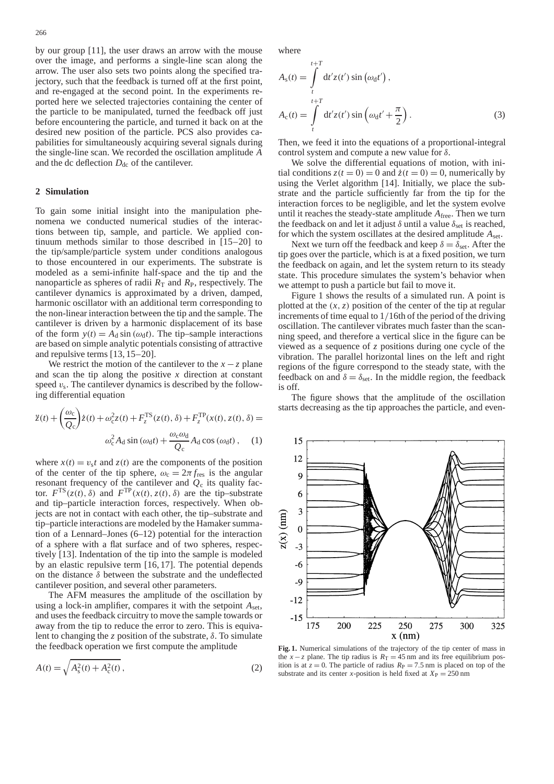by our group [11], the user draws an arrow with the mouse over the image, and performs a single-line scan along the arrow. The user also sets two points along the specified trajectory, such that the feedback is turned off at the first point, and re-engaged at the second point. In the experiments reported here we selected trajectories containing the center of the particle to be manipulated, turned the feedback off just before encountering the particle, and turned it back on at the desired new position of the particle. PCS also provides capabilities for simultaneously acquiring several signals during the single-line scan. We recorded the oscillation amplitude *A* and the dc deflection  $D_{\text{dc}}$  of the cantilever.

#### **2 Simulation**

To gain some initial insight into the manipulation phenomena we conducted numerical studies of the interactions between tip, sample, and particle. We applied continuum methods similar to those described in [15–20] to the tip/sample/particle system under conditions analogous to those encountered in our experiments. The substrate is modeled as a semi-infinite half-space and the tip and the nanoparticle as spheres of radii  $R_T$  and  $R_P$ , respectively. The cantilever dynamics is approximated by a driven, damped, harmonic oscillator with an additional term corresponding to the non-linear interaction between the tip and the sample. The cantilever is driven by a harmonic displacement of its base of the form  $y(t) = A_d \sin(\omega_d t)$ . The tip–sample interactions are based on simple analytic potentials consisting of attractive and repulsive terms [13, 15–20].

We restrict the motion of the cantilever to the  $x - z$  plane and scan the tip along the positive *x* direction at constant speed  $v_s$ . The cantilever dynamics is described by the following differential equation

$$
\ddot{z}(t) + \left(\frac{\omega_c}{Q_c}\right) \dot{z}(t) + \omega_c^2 z(t) + F_z^{TS}(z(t), \delta) + F_z^{TP}(x(t), z(t), \delta) =
$$

$$
\omega_c^2 A_d \sin(\omega_d t) + \frac{\omega_c \omega_d}{Q_c} A_d \cos(\omega_d t), \quad (1)
$$

where  $x(t) = v_s t$  and  $z(t)$  are the components of the position of the center of the tip sphere,  $\omega_c = 2\pi f_{\text{res}}$  is the angular resonant frequency of the cantilever and  $Q_c$  its quality factor.  $F^{TS}(z(t), \delta)$  and  $F^{TP}(x(t), z(t), \delta)$  are the tip–substrate and tip–particle interaction forces, respectively. When objects are not in contact with each other, the tip–substrate and tip–particle interactions are modeled by the Hamaker summation of a Lennard–Jones (6–12) potential for the interaction of a sphere with a flat surface and of two spheres, respectively [13]. Indentation of the tip into the sample is modeled by an elastic repulsive term [16, 17]. The potential depends on the distance  $\delta$  between the substrate and the undeflected cantilever position, and several other parameters.

The AFM measures the amplitude of the oscillation by using a lock-in amplifier, compares it with the setpoint  $A_{set}$ , and uses the feedback circuitry to move the sample towards or away from the tip to reduce the error to zero. This is equivalent to changing the *z* position of the substrate, δ. To simulate the feedback operation we first compute the amplitude

$$
A(t) = \sqrt{A_s^2(t) + A_c^2(t)},
$$
\n(2)

where

$$
A_s(t) = \int\limits_t^{t+T} dt' z(t') \sin(\omega_d t'),
$$
  

$$
A_c(t) = \int\limits_t^{t+T} dt' z(t') \sin(\omega_d t' + \frac{\pi}{2}).
$$
 (3)

Then, we feed it into the equations of a proportional-integral control system and compute a new value for  $\delta$ .

We solve the differential equations of motion, with initial conditions  $z(t = 0) = 0$  and  $\dot{z}(t = 0) = 0$ , numerically by using the Verlet algorithm [14]. Initially, we place the substrate and the particle sufficiently far from the tip for the interaction forces to be negligible, and let the system evolve until it reaches the steady-state amplitude *A*free. Then we turn the feedback on and let it adjust  $\delta$  until a value  $\delta_{\text{set}}$  is reached, for which the system oscillates at the desired amplitude  $A_{set}$ .

Next we turn off the feedback and keep  $\delta = \delta_{\text{set}}$ . After the tip goes over the particle, which is at a fixed position, we turn the feedback on again, and let the system return to its steady state. This procedure simulates the system's behavior when we attempt to push a particle but fail to move it.

Figure 1 shows the results of a simulated run. A point is plotted at the  $(x, z)$  position of the center of the tip at regular increments of time equal to 1/16th of the period of the driving oscillation. The cantilever vibrates much faster than the scanning speed, and therefore a vertical slice in the figure can be viewed as a sequence of *z* positions during one cycle of the vibration. The parallel horizontal lines on the left and right regions of the figure correspond to the steady state, with the feedback on and  $\delta = \delta_{\text{set}}$ . In the middle region, the feedback is off.

The figure shows that the amplitude of the oscillation starts decreasing as the tip approaches the particle, and even-



**Fig. 1.** Numerical simulations of the trajectory of the tip center of mass in the *x* − *z* plane. The tip radius is  $R_T = 45$  nm and its free equilibrium position is at  $z = 0$ . The particle of radius  $R<sub>P</sub> = 7.5$  nm is placed on top of the substrate and its center *x*-position is held fixed at  $X<sub>P</sub> = 250$  nm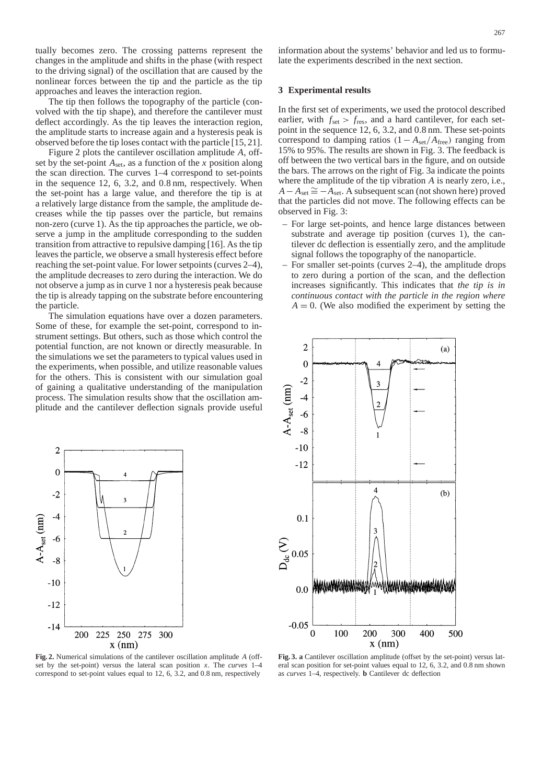tually becomes zero. The crossing patterns represent the changes in the amplitude and shifts in the phase (with respect to the driving signal) of the oscillation that are caused by the nonlinear forces between the tip and the particle as the tip approaches and leaves the interaction region.

The tip then follows the topography of the particle (convolved with the tip shape), and therefore the cantilever must deflect accordingly. As the tip leaves the interaction region, the amplitude starts to increase again and a hysteresis peak is observed before the tip loses contact with the particle [15, 21].

Figure 2 plots the cantilever oscillation amplitude *A*, offset by the set-point *A*set, as a function of the *x* position along the scan direction. The curves 1–4 correspond to set-points in the sequence 12, 6, 3.2, and 0.8 nm, respectively. When the set-point has a large value, and therefore the tip is at a relatively large distance from the sample, the amplitude decreases while the tip passes over the particle, but remains non-zero (curve 1). As the tip approaches the particle, we observe a jump in the amplitude corresponding to the sudden transition from attractive to repulsive damping [16]. As the tip leaves the particle, we observe a small hysteresis effect before reaching the set-point value. For lower setpoints (curves 2–4), the amplitude decreases to zero during the interaction. We do not observe a jump as in curve 1 nor a hysteresis peak because the tip is already tapping on the substrate before encountering the particle.

The simulation equations have over a dozen parameters. Some of these, for example the set-point, correspond to instrument settings. But others, such as those which control the potential function, are not known or directly measurable. In the simulations we set the parameters to typical values used in the experiments, when possible, and utilize reasonable values for the others. This is consistent with our simulation goal of gaining a qualitative understanding of the manipulation process. The simulation results show that the oscillation amplitude and the cantilever deflection signals provide useful



**Fig. 2.** Numerical simulations of the cantilever oscillation amplitude *A* (offset by the set-point) versus the lateral scan position *x*. The *curves* 1–4 correspond to set-point values equal to 12, 6, 3.2, and 0.8 nm, respectively

information about the systems' behavior and led us to formulate the experiments described in the next section.

## **3 Experimental results**

In the first set of experiments, we used the protocol described earlier, with  $f_{\text{set}} > f_{\text{res}}$ , and a hard cantilever, for each setpoint in the sequence 12, 6, 3.2, and 0.8 nm. These set-points correspond to damping ratios (1− *A*set/*A*free) ranging from 15% to 95%. The results are shown in Fig. 3. The feedback is off between the two vertical bars in the figure, and on outside the bars. The arrows on the right of Fig. 3a indicate the points where the amplitude of the tip vibration *A* is nearly zero, i.e.,  $A - A_{set} \cong -A_{set}$ . A subsequent scan (not shown here) proved that the particles did not move. The following effects can be observed in Fig. 3:

- For large set-points, and hence large distances between substrate and average tip position (curves 1), the cantilever dc deflection is essentially zero, and the amplitude signal follows the topography of the nanoparticle.
- For smaller set-points (curves 2–4), the amplitude drops to zero during a portion of the scan, and the deflection increases significantly. This indicates that *the tip is in continuous contact with the particle in the region where*  $A = 0$ . (We also modified the experiment by setting the



**Fig. 3. a** Cantilever oscillation amplitude (offset by the set-point) versus lateral scan position for set-point values equal to 12, 6, 3.2, and 0.8 nm shown as *curves* 1–4, respectively. **b** Cantilever dc deflection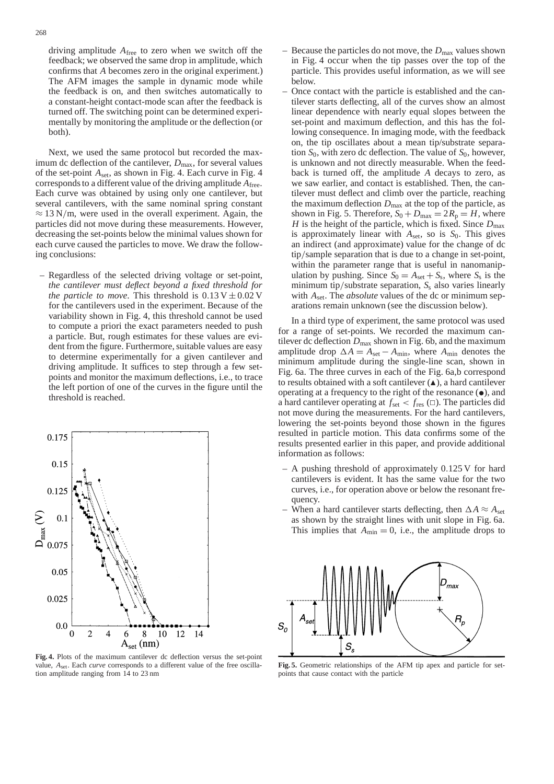driving amplitude *A*free to zero when we switch off the feedback; we observed the same drop in amplitude, which confirms that *A* becomes zero in the original experiment.) The AFM images the sample in dynamic mode while the feedback is on, and then switches automatically to a constant-height contact-mode scan after the feedback is turned off. The switching point can be determined experimentally by monitoring the amplitude or the deflection (or both).

Next, we used the same protocol but recorded the maximum dc deflection of the cantilever,  $D_{\text{max}}$ , for several values of the set-point *A*set, as shown in Fig. 4. Each curve in Fig. 4 corresponds to a different value of the driving amplitude *A*free. Each curve was obtained by using only one cantilever, but several cantilevers, with the same nominal spring constant  $\approx$  13 N/m, were used in the overall experiment. Again, the particles did not move during these measurements. However, decreasing the set-points below the minimal values shown for each curve caused the particles to move. We draw the following conclusions:

– Regardless of the selected driving voltage or set-point, *the cantilever must deflect beyond a fixed threshold for the particle to move.* This threshold is  $0.13 \text{ V} \pm 0.02 \text{ V}$ for the cantilevers used in the experiment. Because of the variability shown in Fig. 4, this threshold cannot be used to compute a priori the exact parameters needed to push a particle. But, rough estimates for these values are evident from the figure. Furthermore, suitable values are easy to determine experimentally for a given cantilever and driving amplitude. It suffices to step through a few setpoints and monitor the maximum deflections, i.e., to trace the left portion of one of the curves in the figure until the threshold is reached.



**Fig. 4.** Plots of the maximum cantilever dc deflection versus the set-point value, *A*set. Each *curve* corresponds to a different value of the free oscillation amplitude ranging from 14 to 23 nm

- Because the particles do not move, the  $D_{\text{max}}$  values shown in Fig. 4 occur when the tip passes over the top of the particle. This provides useful information, as we will see below.
- Once contact with the particle is established and the cantilever starts deflecting, all of the curves show an almost linear dependence with nearly equal slopes between the set-point and maximum deflection, and this has the following consequence. In imaging mode, with the feedback on, the tip oscillates about a mean tip/substrate separation  $S_0$ , with zero dc deflection. The value of  $S_0$ , however, is unknown and not directly measurable. When the feedback is turned off, the amplitude *A* decays to zero, as we saw earlier, and contact is established. Then, the cantilever must deflect and climb over the particle, reaching the maximum deflection  $D_{\text{max}}$  at the top of the particle, as shown in Fig. 5. Therefore,  $S_0 + D_{\text{max}} = 2R_p = H$ , where *H* is the height of the particle, which is fixed. Since  $D_{\text{max}}$ is approximately linear with  $A_{set}$ , so is  $S_0$ . This gives an indirect (and approximate) value for the change of dc tip/sample separation that is due to a change in set-point, within the parameter range that is useful in nanomanipulation by pushing. Since  $S_0 = A_{set} + S_s$ , where  $S_s$  is the minimum tip/substrate separation, *S*<sub>s</sub> also varies linearly with  $A_{\text{set}}$ . The *absolute* values of the dc or minimum separations remain unknown (see the discussion below).

In a third type of experiment, the same protocol was used for a range of set-points. We recorded the maximum cantilever dc deflection  $D_{\text{max}}$  shown in Fig. 6b, and the maximum amplitude drop  $\Delta A = A_{\text{set}} - A_{\text{min}}$ , where  $A_{\text{min}}$  denotes the minimum amplitude during the single-line scan, shown in Fig. 6a. The three curves in each of the Fig. 6a,b correspond to results obtained with a soft cantilever  $(\triangle)$ , a hard cantilever operating at a frequency to the right of the resonance (•), and a hard cantilever operating at  $f_{\text{set}} < f_{\text{res}}$  ( $\Box$ ). The particles did not move during the measurements. For the hard cantilevers, lowering the set-points beyond those shown in the figures resulted in particle motion. This data confirms some of the results presented earlier in this paper, and provide additional information as follows:

- A pushing threshold of approximately 0.125 V for hard cantilevers is evident. It has the same value for the two curves, i.e., for operation above or below the resonant frequency.
- When a hard cantilever starts deflecting, then  $\Delta A \approx A_{\text{set}}$ as shown by the straight lines with unit slope in Fig. 6a. This implies that  $A_{\text{min}} = 0$ , i.e., the amplitude drops to



**Fig. 5.** Geometric relationships of the AFM tip apex and particle for setpoints that cause contact with the particle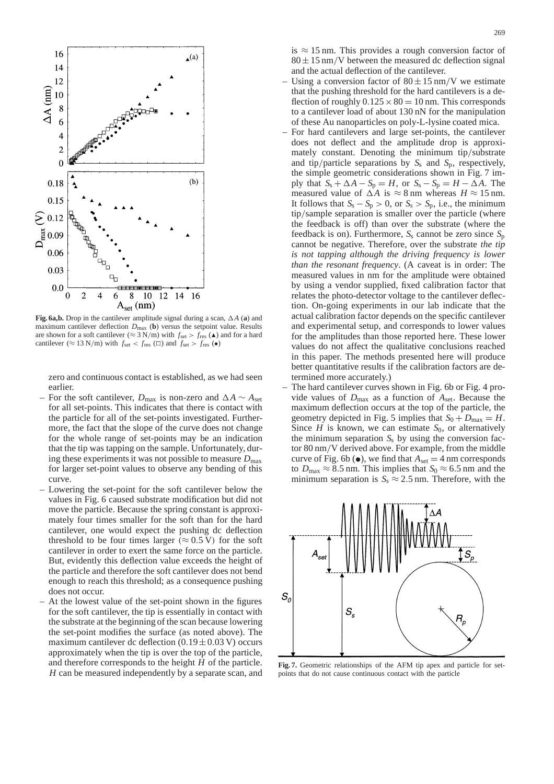

**Fig. 6a,b.** Drop in the cantilever amplitude signal during a scan, ∆*A* (**a**) and maximum cantilever deflection  $D_{\text{max}}$  (**b**) versus the setpoint value. Results are shown for a soft cantilever ( $\approx 3$  N/m) with  $f_{\text{set}} > f_{\text{res}}$  ( $\triangle$ ) and for a hard cantilever ( $\approx$  13 N/m) with  $f_{\text{set}} < f_{\text{res}}$  ( $\Box$ ) and  $f_{\text{set}} > f_{\text{res}}$  ( $\bullet$ )

zero and continuous contact is established, as we had seen earlier.

- For the soft cantilever,  $D_{\text{max}}$  is non-zero and  $\Delta A \sim A_{\text{set}}$ for all set-points. This indicates that there is contact with the particle for all of the set-points investigated. Furthermore, the fact that the slope of the curve does not change for the whole range of set-points may be an indication that the tip was tapping on the sample. Unfortunately, during these experiments it was not possible to measure  $D_{\text{max}}$ for larger set-point values to observe any bending of this curve.
- Lowering the set-point for the soft cantilever below the values in Fig. 6 caused substrate modification but did not move the particle. Because the spring constant is approximately four times smaller for the soft than for the hard cantilever, one would expect the pushing dc deflection threshold to be four times larger ( $\approx 0.5$  V) for the soft cantilever in order to exert the same force on the particle. But, evidently this deflection value exceeds the height of the particle and therefore the soft cantilever does not bend enough to reach this threshold; as a consequence pushing does not occur.
- At the lowest value of the set-point shown in the figures for the soft cantilever, the tip is essentially in contact with the substrate at the beginning of the scan because lowering the set-point modifies the surface (as noted above). The maximum cantilever dc deflection  $(0.19 \pm 0.03 \text{ V})$  occurs approximately when the tip is over the top of the particle, and therefore corresponds to the height *H* of the particle. *H* can be measured independently by a separate scan, and

is  $\approx$  15 nm. This provides a rough conversion factor of  $80 \pm 15$  nm/V between the measured dc deflection signal and the actual deflection of the cantilever.

- Using a conversion factor of  $80 \pm 15$  nm/V we estimate that the pushing threshold for the hard cantilevers is a deflection of roughly  $0.125 \times 80 = 10$  nm. This corresponds to a cantilever load of about 130 nN for the manipulation of these Au nanoparticles on poly-L-lysine coated mica.
- For hard cantilevers and large set-points, the cantilever does not deflect and the amplitude drop is approximately constant. Denoting the minimum tip/substrate and tip/particle separations by  $S_s$  and  $S_p$ , respectively, the simple geometric considerations shown in Fig. 7 imply that  $S_s + \Delta A - S_p = H$ , or  $S_s - S_p = H - \Delta A$ . The measured value of  $\Delta A$  is ≈ 8 nm whereas  $H \approx 15$  nm. It follows that  $S_s - S_p > 0$ , or  $S_s > S_p$ , i.e., the minimum tip/sample separation is smaller over the particle (where the feedback is off) than over the substrate (where the feedback is on). Furthermore,  $S_s$  cannot be zero since  $S_p$ cannot be negative. Therefore, over the substrate *the tip is not tapping although the driving frequency is lower than the resonant frequency*. (A caveat is in order: The measured values in nm for the amplitude were obtained by using a vendor supplied, fixed calibration factor that relates the photo-detector voltage to the cantilever deflection. On-going experiments in our lab indicate that the actual calibration factor depends on the specific cantilever and experimental setup, and corresponds to lower values for the amplitudes than those reported here. These lower values do not affect the qualitative conclusions reached in this paper. The methods presented here will produce better quantitative results if the calibration factors are determined more accurately.)
- The hard cantilever curves shown in Fig. 6b or Fig. 4 provide values of  $D_{\text{max}}$  as a function of  $A_{\text{set}}$ . Because the maximum deflection occurs at the top of the particle, the geometry depicted in Fig. 5 implies that  $S_0 + D_{\text{max}} = H$ . Since *H* is known, we can estimate  $S_0$ , or alternatively the minimum separation  $S<sub>s</sub>$  by using the conversion factor 80 nm/V derived above. For example, from the middle curve of Fig. 6b ( $\bullet$ ), we find that  $A_{\text{set}} = 4$  nm corresponds to  $D_{\text{max}} \approx 8.5$  nm. This implies that  $S_0 \approx 6.5$  nm and the minimum separation is  $S_s \approx 2.5$  nm. Therefore, with the



**Fig. 7.** Geometric relationships of the AFM tip apex and particle for setpoints that do not cause continuous contact with the particle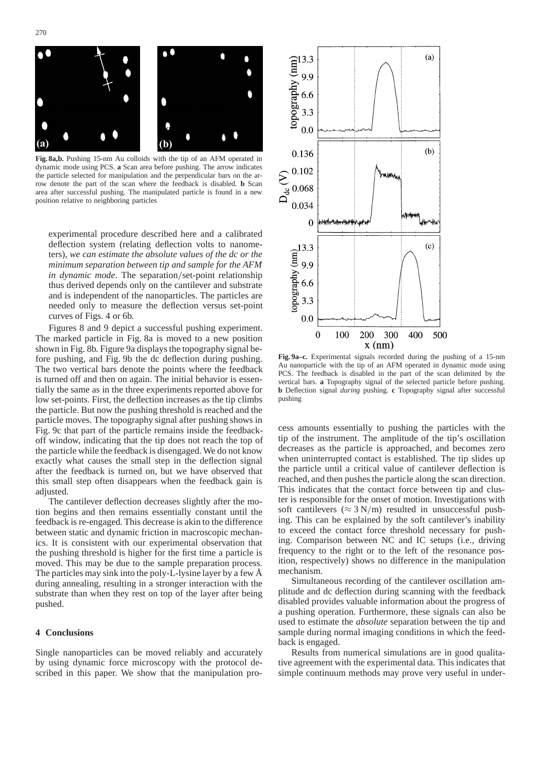

**Fig. 8a,b.** Pushing 15-nm Au colloids with the tip of an AFM operated in dynamic mode using PCS. **a** Scan area before pushing. The arrow indicates the particle selected for manipulation and the perpendicular bars on the arrow denote the part of the scan where the feedback is disabled. **b** Scan area after successful pushing. The manipulated particle is found in a new position relative to neighboring particles

experimental procedure described here and a calibrated deflection system (relating deflection volts to nanometers), *we can estimate the absolute values of the dc or the minimum separation between tip and sample for the AFM in dynamic mode*. The separation/set-point relationship thus derived depends only on the cantilever and substrate and is independent of the nanoparticles. The particles are needed only to measure the deflection versus set-point curves of Figs. 4 or 6b.

Figures 8 and 9 depict a successful pushing experiment. The marked particle in Fig. 8a is moved to a new position shown in Fig. 8b. Figure 9a displays the topography signal before pushing, and Fig. 9b the dc deflection during pushing. The two vertical bars denote the points where the feedback is turned off and then on again. The initial behavior is essentially the same as in the three experiments reported above for low set-points. First, the deflection increases as the tip climbs the particle. But now the pushing threshold is reached and the particle moves. The topography signal after pushing shows in Fig. 9c that part of the particle remains inside the feedbackoff window, indicating that the tip does not reach the top of the particle while the feedback is disengaged. We do not know exactly what causes the small step in the deflection signal after the feedback is turned on, but we have observed that this small step often disappears when the feedback gain is adjusted.

The cantilever deflection decreases slightly after the motion begins and then remains essentially constant until the feedback is re-engaged. This decrease is akin to the difference between static and dynamic friction in macroscopic mechanics. It is consistent with our experimental observation that the pushing threshold is higher for the first time a particle is moved. This may be due to the sample preparation process. The particles may sink into the poly-L-lysine layer by a few Å during annealing, resulting in a stronger interaction with the substrate than when they rest on top of the layer after being pushed.

## **4 Conclusions**

Single nanoparticles can be moved reliably and accurately by using dynamic force microscopy with the protocol described in this paper. We show that the manipulation pro-



**Fig. 9a–c.** Experimental signals recorded during the pushing of a 15-nm Au nanoparticle with the tip of an AFM operated in dynamic mode using PCS. The feedback is disabled in the part of the scan delimited by the vertical bars. **a** Topography signal of the selected particle before pushing. **b** Deflection signal *during* pushing. **c** Topography signal after successful pushing

cess amounts essentially to pushing the particles with the tip of the instrument. The amplitude of the tip's oscillation decreases as the particle is approached, and becomes zero when uninterrupted contact is established. The tip slides up the particle until a critical value of cantilever deflection is reached, and then pushes the particle along the scan direction. This indicates that the contact force between tip and cluster is responsible for the onset of motion. Investigations with soft cantilevers ( $\approx 3 \text{ N/m}$ ) resulted in unsuccessful pushing. This can be explained by the soft cantilever's inability to exceed the contact force threshold necessary for pushing. Comparison between NC and IC setups (i.e., driving frequency to the right or to the left of the resonance position, respectively) shows no difference in the manipulation mechanism.

Simultaneous recording of the cantilever oscillation amplitude and dc deflection during scanning with the feedback disabled provides valuable information about the progress of a pushing operation. Furthermore, these signals can also be used to estimate the *absolute* separation between the tip and sample during normal imaging conditions in which the feedback is engaged.

Results from numerical simulations are in good qualitative agreement with the experimental data. This indicates that simple continuum methods may prove very useful in under